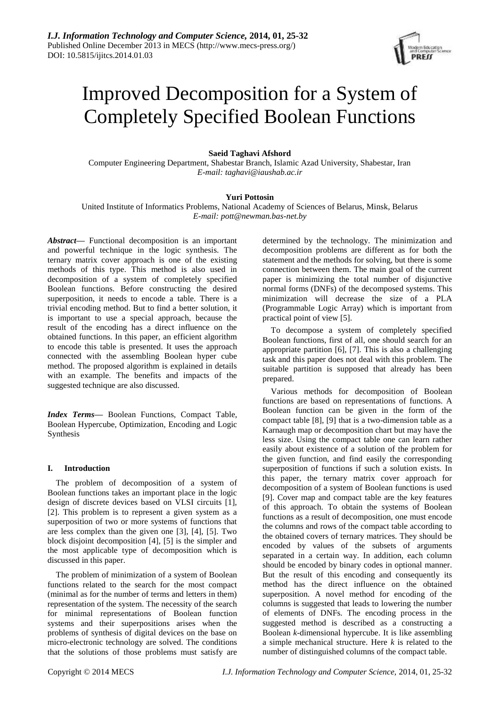

# Improved Decomposition for a System of Completely Specified Boolean Functions

# **Saeid Taghavi Afshord**

Computer Engineering Department, Shabestar Branch, Islamic Azad University, Shabestar, Iran *E-mail: taghavi@iaushab.ac.ir*

# **Yuri Pottosin**

United Institute of Informatics Problems, National Academy of Sciences of Belarus, Minsk, Belarus *E-mail: pott@newman.bas-net.by*

*Abstract***—** Functional decomposition is an important and powerful technique in the logic synthesis. The ternary matrix cover approach is one of the existing methods of this type. This method is also used in decomposition of a system of completely specified Boolean functions. Before constructing the desired superposition, it needs to encode a table. There is a trivial encoding method. But to find a better solution, it is important to use a special approach, because the result of the encoding has a direct influence on the obtained functions. In this paper, an efficient algorithm to encode this table is presented. It uses the approach connected with the assembling Boolean hyper cube method. The proposed algorithm is explained in details with an example. The benefits and impacts of the suggested technique are also discussed.

*Index Terms***—** Boolean Functions, Compact Table, Boolean Hypercube, Optimization, Encoding and Logic Synthesis

# **I. Introduction**

The problem of decomposition of a system of Boolean functions takes an important place in the logic design of discrete devices based on VLSI circuits [1], [2]. This problem is to represent a given system as a superposition of two or more systems of functions that are less complex than the given one [3], [4], [5]. Two block disjoint decomposition [4], [5] is the simpler and the most applicable type of decomposition which is discussed in this paper.

The problem of minimization of a system of Boolean functions related to the search for the most compact (minimal as for the number of terms and letters in them) representation of the system. The necessity of the search for minimal representations of Boolean function systems and their superpositions arises when the problems of synthesis of digital devices on the base on micro-electronic technology are solved. The conditions that the solutions of those problems must satisfy are determined by the technology. The minimization and decomposition problems are different as for both the statement and the methods for solving, but there is some connection between them. The main goal of the current paper is minimizing the total number of disjunctive normal forms (DNFs) of the decomposed systems. This minimization will decrease the size of a PLA (Programmable Logic Array) which is important from practical point of view [5].

To decompose a system of completely specified Boolean functions, first of all, one should search for an appropriate partition [6], [7]. This is also a challenging task and this paper does not deal with this problem. The suitable partition is supposed that already has been prepared.

Various methods for decomposition of Boolean functions are based on representations of functions. A Boolean function can be given in the form of the compact table [8], [9] that is a two-dimension table as a Karnaugh map or decomposition chart but may have the less size. Using the compact table one can learn rather easily about existence of a solution of the problem for the given function, and find easily the corresponding superposition of functions if such a solution exists. In this paper, the ternary matrix cover approach for decomposition of a system of Boolean functions is used [9]. Cover map and compact table are the key features of this approach. To obtain the systems of Boolean functions as a result of decomposition, one must encode the columns and rows of the compact table according to the obtained covers of ternary matrices. They should be encoded by values of the subsets of arguments separated in a certain way. In addition, each column should be encoded by binary codes in optional manner. But the result of this encoding and consequently its method has the direct influence on the obtained superposition. A novel method for encoding of the columns is suggested that leads to lowering the number of elements of DNFs. The encoding process in the suggested method is described as a constructing a Boolean *k*-dimensional hypercube. It is like assembling a simple mechanical structure. Here *k* is related to the number of distinguished columns of the compact table.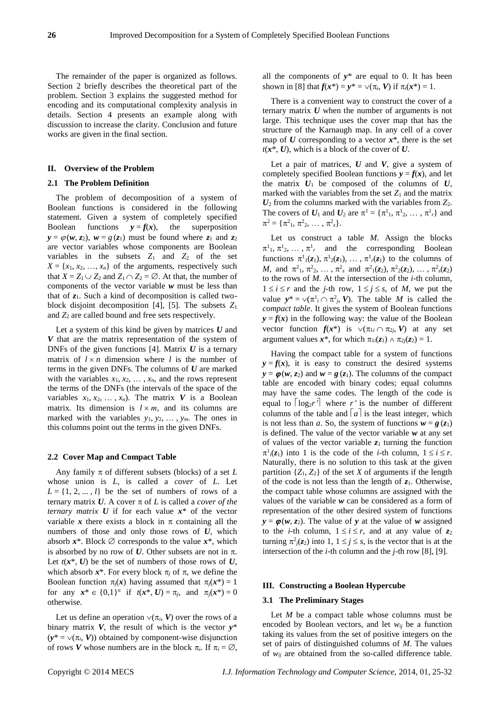The remainder of the paper is organized as follows. Section 2 briefly describes the theoretical part of the problem. Section 3 explains the suggested method for encoding and its computational complexity analysis in details. Section 4 presents an example along with discussion to increase the clarity. Conclusion and future works are given in the final section.

## **II. Overview of the Problem**

## **2.1 The Problem Definition**

The problem of decomposition of a system of Boolean functions is considered in the following statement. Given a system of completely specified Boolean functions  $y = f(x)$ , the superposition  $y = \varphi(w, z_2)$ ,  $w = g(z_1)$  must be found where  $z_1$  and  $z_2$ are vector variables whose components are Boolean variables in the subsets  $Z_1$  and  $Z_2$  of the set  $X = \{x_1, x_2, \ldots, x_n\}$  of the arguments, respectively such that  $X = Z_1 \cup Z_2$  and  $Z_1 \cap Z_2 = \emptyset$ . At that, the number of components of the vector variable *w* must be less than that of *z*1. Such a kind of decomposition is called twoblock disjoint decomposition [4], [5]. The subsets *Z*<sup>1</sup> and  $Z_2$  are called bound and free sets respectively.

Let a system of this kind be given by matrices *U* and *V* that are the matrix representation of the system of DNFs of the given functions [4]. Matrix *U* is a ternary matrix of  $l \times n$  dimension where *l* is the number of terms in the given DNFs. The columns of *U* are marked with the variables  $x_1, x_2, \ldots, x_n$ , and the rows represent the terms of the DNFs (the intervals of the space of the variables  $x_1, x_2, \ldots, x_n$ ). The matrix V is a Boolean matrix. Its dimension is  $l \times m$ , and its columns are marked with the variables  $y_1, y_2, \ldots, y_m$ . The ones in this columns point out the terms in the given DNFs.

#### **2.2 Cover Map and Compact Table**

Any family  $\pi$  of different subsets (blocks) of a set  $L$ whose union is *L*, is called a *cover* of *L*. Let  $L = \{1, 2, \dots, l\}$  be the set of numbers of rows of a ternary matrix  $U$ . A cover  $\pi$  of  $L$  is called a *cover of the ternary matrix*  $U$  if for each value  $x^*$  of the vector variable x there exists a block in  $\pi$  containing all the numbers of those and only those rows of *U*, which absorb  $x^*$ . Block  $\emptyset$  corresponds to the value  $x^*$ , which is absorbed by no row of  $U$ . Other subsets are not in  $\pi$ . Let  $t(x^*, U)$  be the set of numbers of those rows of  $U$ , which absorb  $x^*$ . For every block  $\pi_j$  of  $\pi$ , we define the Boolean function  $\pi_i(x)$  having assumed that  $\pi_i(x^*) = 1$ for any  $x^* \in \{0,1\}^n$  if  $t(x^*, U) = \pi_j$ , and  $\pi_j(x^*) = 0$ otherwise.

Let us define an operation  $\vee(\pi_i, V)$  over the rows of a binary matrix *V*, the result of which is the vector *y*\*  $(y^* = \vee (\pi_i, V))$  obtained by component-wise disjunction of rows *V* whose numbers are in the block  $\pi_i$ . If  $\pi_i = \emptyset$ , all the components of  $y^*$  are equal to 0. It has been shown in [8] that  $f(x^*) = y^* = \sqrt{\pi_i}$ , *V*) if  $\pi_i(x^*) = 1$ .

There is a convenient way to construct the cover of a ternary matrix *U* when the number of arguments is not large. This technique uses the cover map that has the structure of the Karnaugh map. In any cell of a cover map of  $U$  corresponding to a vector  $x^*$ , there is the set  $t(x^*, U)$ , which is a block of the cover of  $U$ .

Let a pair of matrices,  $U$  and  $V$ , give a system of completely specified Boolean functions  $y = f(x)$ , and let the matrix  $U_1$  be composed of the columns of  $U$ , marked with the variables from the set  $Z_1$  and the matrix *U*<sup>2</sup> from the columns marked with the variables from *Z*2. The covers of  $U_1$  and  $U_2$  are  $\pi^1 = {\pi^1_1, \pi^1_2, \dots, \pi^1_r}$  and  $\pi^2 = {\pi^2_1, \pi^2_2, ..., \pi^2_s}.$ 

Let us construct a table *M*. Assign the blocks  $\pi^1_1, \pi^1_2, \ldots, \pi^1_r$  and the corresponding Boolean functions  $\pi^1_1(z_1), \pi^1_2(z_1), \ldots, \pi^1_r(z_1)$  to the columns of *M*, and  $\pi^2_1, \pi^2_2, \ldots, \pi^2_s$  and  $\pi^2_1(z_2), \pi^2_2(z_2), \ldots, \pi^2_s(z_2)$ to the rows of *M*. At the intersection of the *i*-th column,  $1 \le i \le r$  and the *j*-th row,  $1 \le j \le s$ , of *M*, we put the value  $y^* = \vee (\pi^1 \cap \pi^2 \cap V)$ . The table *M* is called the *compact table*. It gives the system of Boolean functions  $y = f(x)$  in the following way: the value of the Boolean vector function  $f(x^*)$  is  $\vee (\pi_{1i} \cap \pi_{2i}, V)$  at any set argument values  $x^*$ , for which  $\pi_{1i}(z_1) \wedge \pi_{2i}(z_2) = 1$ .

Having the compact table for a system of functions  $y = f(x)$ , it is easy to construct the desired systems  $y = \varphi(w, z_2)$  and  $w = g(z_1)$ . The columns of the compact table are encoded with binary codes; equal columns may have the same codes. The length of the code is equal to  $\lceil \log_2 r \rceil$  where r' is the number of different columns of the table and  $\lceil a \rceil$  is the least integer, which is not less than *a*. So, the system of functions  $w = g(z_1)$ is defined. The value of the vector variable *w* at any set of values of the vector variable  $z_1$  turning the function  $\pi^{1}(z_1)$  into 1 is the code of the *i*-th column,  $1 \le i \le r$ . Naturally, there is no solution to this task at the given partition  $\{Z_1, Z_2\}$  of the set *X* of arguments if the length of the code is not less than the length of *z*1. Otherwise, the compact table whose columns are assigned with the values of the variable *w* can be considered as a form of representation of the other desired system of functions  $y = \varphi(w, z_2)$ . The value of *y* at the value of *w* assigned to the *i*-th column,  $1 \le i \le r$ , and at any value of  $z_2$ turning  $\pi^2 j(z_2)$  into 1,  $1 \le j \le s$ , is the vector that is at the intersection of the *i*-th column and the *j*-th row [8], [9].

## **III. Constructing a Boolean Hypercube**

#### **3.1 The Preliminary Stages**

Let *M* be a compact table whose columns must be encoded by Boolean vectors, and let *wij* be a function taking its values from the set of positive integers on the set of pairs of distinguished columns of *M*. The values of *wij* are obtained from the so-called difference table.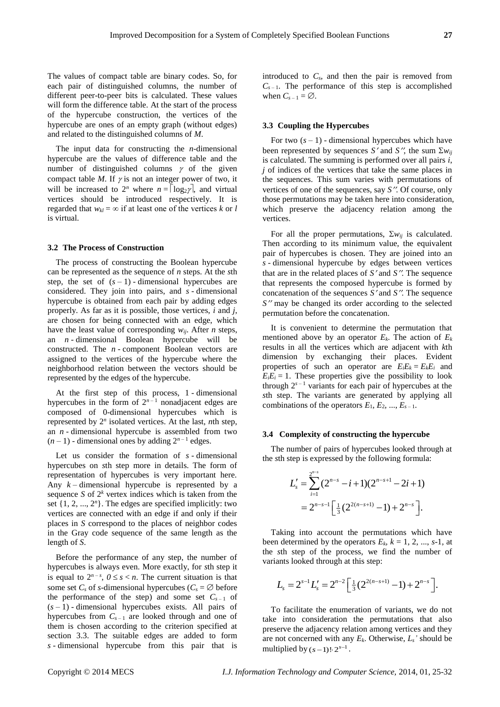The values of compact table are binary codes. So, for each pair of distinguished columns, the number of different peer-to-peer bits is calculated. These values will form the difference table. At the start of the process of the hypercube construction, the vertices of the hypercube are ones of an empty graph (without edges) and related to the distinguished columns of *M*.

The input data for constructing the *n*-dimensional hypercube are the values of difference table and the number of distinguished columns  $\gamma$  of the given compact table *M*. If  $\gamma$  is not an integer power of two, it will be increased to  $2^n$  where  $n = \lceil \log_2{\gamma} \rceil$ , and virtual vertices should be introduced respectively. It is regarded that  $w_{kl} = \infty$  if at least one of the vertices *k* or *l* is virtual.

#### **3.2 The Process of Construction**

The process of constructing the Boolean hypercube can be represented as the sequence of *n* steps. At the *s*th step, the set of  $(s - 1)$  - dimensional hypercubes are considered. They join into pairs, and *s* - dimensional hypercube is obtained from each pair by adding edges properly. As far as it is possible, those vertices, *i* and *j*, are chosen for being connected with an edge, which have the least value of corresponding *wij*. After *n* steps, an *n* - dimensional Boolean hypercube will be constructed. The *n* - component Boolean vectors are assigned to the vertices of the hypercube where the neighborhood relation between the vectors should be represented by the edges of the hypercube.

At the first step of this process, 1 - dimensional hypercubes in the form of  $2^{n-1}$  nonadjacent edges are composed of 0-dimensional hypercubes which is represented by 2*<sup>n</sup>* isolated vertices. At the last, *n*th step, an *n* - dimensional hypercube is assembled from two  $(n-1)$  - dimensional ones by adding  $2^{n-1}$  edges.

Let us consider the formation of *s* - dimensional hypercubes on *s*th step more in details. The form of representation of hypercubes is very important here. Any *k* – dimensional hypercube is represented by a sequence *S* of  $2<sup>k</sup>$  vertex indices which is taken from the set  $\{1, 2, ..., 2<sup>n</sup>\}$ . The edges are specified implicitly: two vertices are connected with an edge if and only if their places in *S* correspond to the places of neighbor codes in the Gray code sequence of the same length as the length of *S*.

Before the performance of any step, the number of hypercubes is always even. More exactly, for *s*th step it is equal to  $2^{n-s}$ ,  $0 \le s < n$ . The current situation is that some set  $C_s$  of *s*-dimensional hypercubes ( $C_s = \emptyset$  before the performance of the step) and some set  $C_{s-1}$  of  $(s - 1)$  - dimensional hypercubes exists. All pairs of hypercubes from  $C_{s-1}$  are looked through and one of them is chosen according to the criterion specified at section 3.3. The suitable edges are added to form *s* - dimensional hypercube from this pair that is introduced to *Cs*, and then the pair is removed from  $C_{s-1}$ . The performance of this step is accomplished when  $C_{s-1} = \emptyset$ .

### **3.3 Coupling the Hypercubes**

For two  $(s - 1)$  - dimensional hypercubes which have been represented by sequences *S'* and *S''*, the sum  $\Sigma w_{ij}$ is calculated. The summing is performed over all pairs *i*, *j* of indices of the vertices that take the same places in the sequences. This sum varies with permutations of vertices of one of the sequences, say *S*. Of course, only those permutations may be taken here into consideration, which preserve the adjacency relation among the vertices.

For all the proper permutations,  $\Sigma w_{ij}$  is calculated. Then according to its minimum value, the equivalent pair of hypercubes is chosen. They are joined into an *s* - dimensional hypercube by edges between vertices that are in the related places of  $S'$  and  $S''$ . The sequence that represents the composed hypercube is formed by concatenation of the sequences  $S'$  and  $S''$ . The sequence *S*<sup>"</sup> may be changed its order according to the selected permutation before the concatenation.

It is convenient to determine the permutation that mentioned above by an operator  $E_k$ . The action of  $E_k$ results in all the vertices which are adjacent with *k*th dimension by exchanging their places. Evident properties of such an operator are  $E_i E_k = E_k E_i$  and  $E_i E_i = 1$ . These properties give the possibility to look through  $2^{s-1}$  variants for each pair of hypercubes at the *s*th step. The variants are generated by applying all combinations of the operators  $E_1, E_2, ..., E_{s-1}$ .

#### **3.4 Complexity of constructing the hypercube**

The number of pairs of hypercubes looked through at the *s*th step is expressed by the following formula:

$$
L'_{s} = \sum_{i=1}^{2^{n-s}} (2^{n-s} - i + 1)(2^{n-s+1} - 2i + 1)
$$
  
=  $2^{n-s-1} \Big[ \frac{1}{3} (2^{2(n-s+1)} - 1) + 2^{n-s} \Big].$ 

Taking into account the permutations which have been determined by the operators  $E_k$ ,  $k = 1, 2, ..., s-1$ , at the *s*th step of the process, we find the number of variants looked through at this step:

$$
L_s = 2^{s-1} L_s' = 2^{n-2} \left[ \frac{1}{3} (2^{2(n-s+1)} - 1) + 2^{n-s} \right].
$$

To facilitate the enumeration of variants, we do not take into consideration the permutations that also preserve the adjacency relation among vertices and they are not concerned with any  $E_k$ . Otherwise,  $L_s$ ' should be multiplied by  $(s-1)! \cdot 2^{s-1}$ .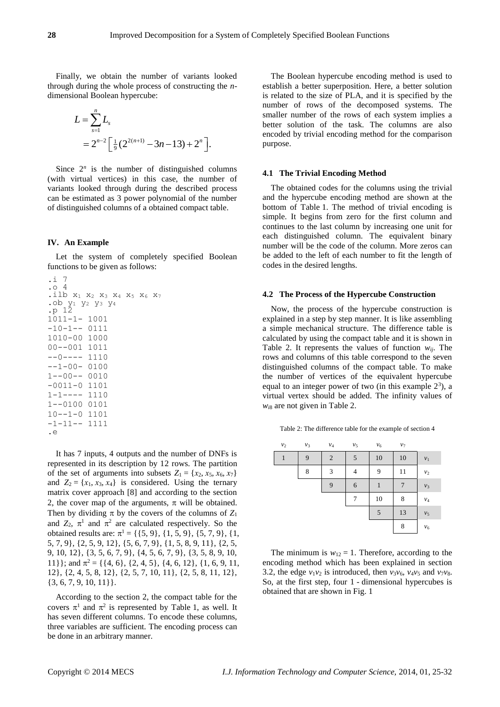Finally, we obtain the number of variants looked through during the whole process of constructing the *n*dimensional Boolean hypercube:

$$
L = \sum_{s=1}^{n} L_s
$$
  
=  $2^{n-2} \left[ \frac{1}{9} (2^{2(n+1)} - 3n - 13) + 2^n \right].$ 

Since  $2^n$  is the number of distinguished columns (with virtual vertices) in this case, the number of variants looked through during the described process can be estimated as 3 power polynomial of the number of distinguished columns of a obtained compact table.

# **IV. An Example**

Let the system of completely specified Boolean functions to be given as follows:

```
.i 7
.o 4
.ilb x<sub>1</sub> x<sub>2</sub> x<sub>3</sub> x<sub>4</sub> x<sub>5</sub> x<sub>6</sub> x<sub>7</sub>
.ob y1 y2 y3 y4
.p 12
1011-1- 1001
-10-1-- 01111010-00 1000
00--001 1011
--0---1110-1-00-01001--00-- 0010
-0011-0 1101
1-1---- 1110
1--0100 0101
10--1-0 1101
-1-11-- 1111
.e
```
It has 7 inputs, 4 outputs and the number of DNFs is represented in its description by 12 rows. The partition of the set of arguments into subsets  $Z_1 = \{x_2, x_5, x_6, x_7\}$ and  $Z_2 = \{x_1, x_3, x_4\}$  is considered. Using the ternary matrix cover approach [8] and according to the section 2, the cover map of the arguments,  $\pi$  will be obtained. Then by dividing  $\pi$  by the covers of the columns of  $Z_1$ and  $Z_2$ ,  $\pi^1$  and  $\pi^2$  are calculated respectively. So the obtained results are:  $\pi^1 = \{ \{5, 9\}, \{1, 5, 9\}, \{5, 7, 9\}, \{1,$ 5, 7, 9}, {2, 5, 9, 12}, {5, 6, 7, 9}, {1, 5, 8, 9, 11}, {2, 5, 9, 10, 12}, {3, 5, 6, 7, 9}, {4, 5, 6, 7, 9}, {3, 5, 8, 9, 10, 11}}; and  $\pi^2 = \{ \{4, 6\}, \{2, 4, 5\}, \{4, 6, 12\}, \{1, 6, 9, 11,$ 12}, {2, 4, 5, 8, 12}, {2, 5, 7, 10, 11}, {2, 5, 8, 11, 12}, {3, 6, 7, 9, 10, 11}}.

According to the section 2, the compact table for the covers  $\pi^1$  and  $\pi^2$  is represented by Table 1, as well. It has seven different columns. To encode these columns, three variables are sufficient. The encoding process can be done in an arbitrary manner.

The Boolean hypercube encoding method is used to establish a better superposition. Here, a better solution is related to the size of PLA, and it is specified by the number of rows of the decomposed systems. The smaller number of the rows of each system implies a better solution of the task. The columns are also encoded by trivial encoding method for the comparison purpose.

#### **4.1 The Trivial Encoding Method**

The obtained codes for the columns using the trivial and the hypercube encoding method are shown at the bottom of Table 1. The method of trivial encoding is simple. It begins from zero for the first column and continues to the last column by increasing one unit for each distinguished column. The equivalent binary number will be the code of the column. More zeros can be added to the left of each number to fit the length of codes in the desired lengths.

#### **4.2 The Process of the Hypercube Construction**

Now, the process of the hypercube construction is explained in a step by step manner. It is like assembling a simple mechanical structure. The difference table is calculated by using the compact table and it is shown in Table 2. It represents the values of function  $w_{ii}$ . The rows and columns of this table correspond to the seven distinguished columns of the compact table. To make the number of vertices of the equivalent hypercube equal to an integer power of two (in this example  $2<sup>3</sup>$ ), a virtual vertex should be added. The infinity values of *wi*<sup>8</sup> are not given in Table 2.

Table 2: The difference table for the example of section 4

| v <sub>2</sub> | $v_3$ | $\mathcal{V}4$ | v <sub>5</sub> | $v_6$ | v <sub>7</sub> |                 |
|----------------|-------|----------------|----------------|-------|----------------|-----------------|
| $\mathbf{1}$   | 9     | 2              | 5              | 10    | 10             | $\nu_1$         |
|                | 8     | 3              | 4              | 9     | 11             | $\nu_2$         |
|                |       | 9              | 6              | 1     | 7              | $v_3$           |
|                |       |                | 7              | 10    | 8              | $\mathcal{V}_4$ |
|                |       |                |                | 5     | 13             | ${\nu}_5$       |
|                |       |                |                |       | 8              | $v_6$           |

The minimum is  $w_{12} = 1$ . Therefore, according to the encoding method which has been explained in section 3.2, the edge  $v_1v_2$  is introduced, then  $v_3v_6$ ,  $v_4v_5$  and  $v_7v_8$ . So, at the first step, four 1 - dimensional hypercubes is obtained that are shown in Fig. 1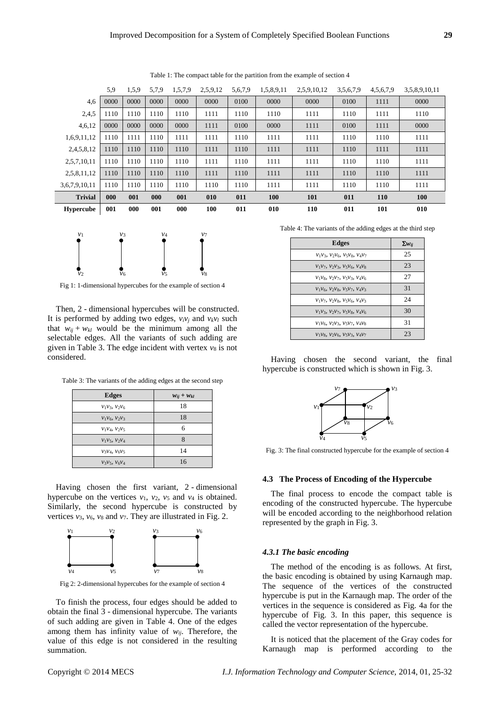|                | 5.9  | 1,5,9 | 5.7.9 | 1,5,7,9 | 2,5,9,12 | 5,6,7,9 | 1,5,8,9,11 | 2,5,9,10,12 | 3.5,6.7.9 | 4, 5, 6, 7, 9 | 3,5,8,9,10,11 |
|----------------|------|-------|-------|---------|----------|---------|------------|-------------|-----------|---------------|---------------|
| 4,6            | 0000 | 0000  | 0000  | 0000    | 0000     | 0100    | 0000       | 0000        | 0100      | 1111          | 0000          |
| 2,4,5          | 1110 | 1110  | 1110  | 1110    | 1111     | 1110    | 1110       | 1111        | 1110      | 1111          | 1110          |
| 4,6,12         | 0000 | 0000  | 0000  | 0000    | 1111     | 0100    | 0000       | 1111        | 0100      | 1111          | 0000          |
| 1,6,9,11,12    | 1110 | 1111  | 1110  | 1111    | 1111     | 1110    | 1111       | 1111        | 1110      | 1110          | 1111          |
| 2,4,5,8,12     | 1110 | 1110  | 1110  | 1110    | 1111     | 1110    | 1111       | 1111        | 1110      | 1111          | 1111          |
| 2,5,7,10,11    | 1110 | 1110  | 1110  | 1110    | 1111     | 1110    | 1111       | 1111        | 1110      | 1110          | 1111          |
| 2,5,8,11,12    | 1110 | 1110  | 1110  | 1110    | 1111     | 1110    | 1111       | 1111        | 1110      | 1110          | 1111          |
| 3,6,7,9,10,11  | 1110 | 1110  | 1110  | 1110    | 1110     | 1110    | 1111       | 1111        | 1110      | 1110          | 1111          |
| <b>Trivial</b> | 000  | 001   | 000   | 001     | 010      | 011     | 100        | 101         | 011       | <b>110</b>    | <b>100</b>    |
| Hypercube      | 001  | 000   | 001   | 000     | 100      | 011     | 010        | <b>110</b>  | 011       | 101           | 010           |





Fig 1: 1-dimensional hypercubes for the example of section 4

Then, 2 - dimensional hypercubes will be constructed. It is performed by adding two edges,  $v_i v_j$  and  $v_k v_l$  such that  $w_{ij} + w_{kl}$  would be the minimum among all the selectable edges. All the variants of such adding are given in Table 3. The edge incident with vertex  $v_8$  is not considered.

Table 3: The variants of the adding edges at the second step

| <b>Edges</b>     | $W_{ij} + W_{kl}$ |
|------------------|-------------------|
| $v_1v_3, v_2v_6$ | 18                |
| $v_1v_6, v_2v_3$ | 18                |
| $V_1V_4, V_2V_5$ | 6                 |
| $v_1v_5, v_2v_4$ | 8                 |
| $v_3v_4, v_6v_5$ | 14                |
| $V_3V_5, V_6V_4$ | 16                |

Having chosen the first variant, 2 - dimensional hypercube on the vertices  $v_1$ ,  $v_2$ ,  $v_5$  and  $v_4$  is obtained. Similarly, the second hypercube is constructed by vertices  $v_3$ ,  $v_6$ ,  $v_8$  and  $v_7$ . They are illustrated in Fig. 2.



Fig 2: 2-dimensional hypercubes for the example of section 4

To finish the process, four edges should be added to obtain the final 3 - dimensional hypercube. The variants of such adding are given in Table 4. One of the edges among them has infinity value of *wij*. Therefore, the value of this edge is not considered in the resulting summation.

Table 4: The variants of the adding edges at the third step

| <b>Edges</b>                              | $\Sigma w_{ij}$ |
|-------------------------------------------|-----------------|
| $V_1V_3$ , $V_2V_6$ , $V_5V_8$ , $V_4V_7$ | 25              |
| $V_1V_7, V_2V_3, V_5V_6, V_4V_8$          | 23              |
| $V_1V_8, V_2V_7, V_5V_3, V_4V_6$          | 27              |
| $V_1V_6, V_2V_8, V_5V_7, V_4V_3$          | 31              |
| $V_1V_7, V_2V_8, V_5V_6, V_4V_3$          | 24              |
| $V_1V_3$ , $V_2V_7$ , $V_5V_8$ , $V_4V_6$ | 30              |
| $V_1V_6, V_2V_3, V_5V_7, V_4V_8$          | 31              |
| $V_1V_8, V_2V_6, V_5V_3, V_4V_7$          | 23              |

Having chosen the second variant, the final hypercube is constructed which is shown in Fig. 3.



Fig. 3: The final constructed hypercube for the example of section 4

#### **4.3 The Process of Encoding of the Hypercube**

The final process to encode the compact table is encoding of the constructed hypercube. The hypercube will be encoded according to the neighborhood relation represented by the graph in Fig. 3.

#### *4.3.1 The basic encoding*

The method of the encoding is as follows. At first, the basic encoding is obtained by using Karnaugh map. The sequence of the vertices of the constructed hypercube is put in the Karnaugh map. The order of the vertices in the sequence is considered as Fig. 4a for the hypercube of Fig. 3. In this paper, this sequence is called the vector representation of the hypercube.

It is noticed that the placement of the Gray codes for Karnaugh map is performed according to the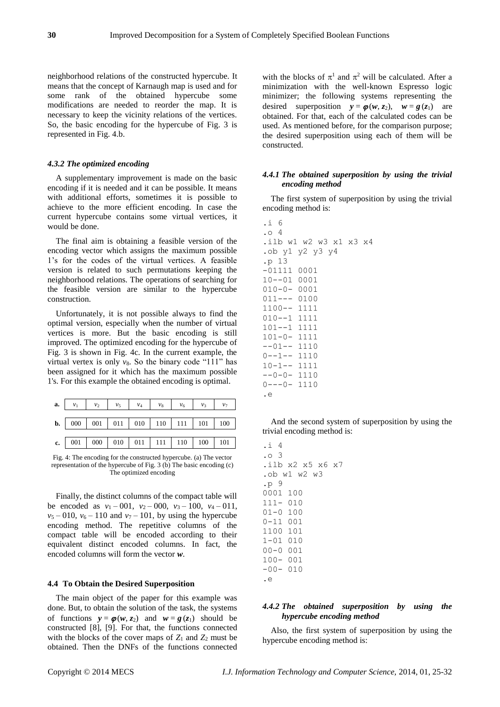neighborhood relations of the constructed hypercube. It means that the concept of Karnaugh map is used and for some rank of the obtained hypercube some modifications are needed to reorder the map. It is necessary to keep the vicinity relations of the vertices. So, the basic encoding for the hypercube of Fig. 3 is represented in Fig. 4.b.

## *4.3.2 The optimized encoding*

A supplementary improvement is made on the basic encoding if it is needed and it can be possible. It means with additional efforts, sometimes it is possible to achieve to the more efficient encoding. In case the current hypercube contains some virtual vertices, it would be done.

The final aim is obtaining a feasible version of the encoding vector which assigns the maximum possible 1's for the codes of the virtual vertices. A feasible version is related to such permutations keeping the neighborhood relations. The operations of searching for the feasible version are similar to the hypercube construction.

Unfortunately, it is not possible always to find the optimal version, especially when the number of virtual vertices is more. But the basic encoding is still improved. The optimized encoding for the hypercube of Fig. 3 is shown in Fig. 4c. In the current example, the virtual vertex is only  $v_8$ . So the binary code "111" has been assigned for it which has the maximum possible 1's. For this example the obtained encoding is optimal.

| <b>a.</b> $v_1$ $v_2$ $v_5$ $v_4$ $v_8$ $v_6$ $v_3$ $v_7$ |  |  |  |  |
|-----------------------------------------------------------|--|--|--|--|
| <b>b.</b>   000   001   011   010   110   111   101   100 |  |  |  |  |
|                                                           |  |  |  |  |
|                                                           |  |  |  |  |

Fig. 4: The encoding for the constructed hypercube. (a) The vector representation of the hypercube of Fig. 3 (b) The basic encoding  $(c)$ The optimized encoding

Finally, the distinct columns of the compact table will be encoded as  $v_1 - 001$ ,  $v_2 - 000$ ,  $v_3 - 100$ ,  $v_4 - 011$ ,  $v_5 - 010$ ,  $v_6 - 110$  and  $v_7 - 101$ , by using the hypercube encoding method. The repetitive columns of the compact table will be encoded according to their equivalent distinct encoded columns. In fact, the encoded columns will form the vector *w*.

## **4.4 To Obtain the Desired Superposition**

The main object of the paper for this example was done. But, to obtain the solution of the task, the systems of functions  $y = \varphi(w, z_2)$  and  $w = g(z_1)$  should be constructed [8], [9]. For that, the functions connected with the blocks of the cover maps of  $Z_1$  and  $Z_2$  must be obtained. Then the DNFs of the functions connected

with the blocks of  $\pi^1$  and  $\pi^2$  will be calculated. After a minimization with the well-known Espresso logic minimizer; the following systems representing the desired superposition  $y = \varphi(w, z_2)$ ,  $w = g(z_1)$  are obtained. For that, each of the calculated codes can be used. As mentioned before, for the comparison purpose; the desired superposition using each of them will be constructed.

# *4.4.1 The obtained superposition by using the trivial encoding method*

The first system of superposition by using the trivial encoding method is:

| .i 6                 |                        |
|----------------------|------------------------|
| $. \circ$ 4          |                        |
|                      | .ilb w1 w2 w3 x1 x3 x4 |
| .ob y1 y2 y3 y4      |                        |
| .p 13                |                        |
| $-01111$ $0001$      |                        |
| $10--01$ 0001        |                        |
| $010 - 0 - 0001$     |                        |
| $011---0100$         |                        |
| 1100-- 1111          |                        |
| $010 - -1$ 1111      |                        |
| 101--1 1111          |                        |
| $101 - 0 - 1111$     |                        |
| $--01--1110$         |                        |
| $0 - -1 - -$<br>1110 |                        |
| $10 - 1 - - 1111$    |                        |
| $--0-0-1110$         |                        |
| $0---0-1110$         |                        |
| .е                   |                        |

And the second system of superposition by using the trivial encoding method is:

 $\times 7$ 

| . i<br>- 4 |               |
|------------|---------------|
| .o 3       |               |
|            | ilb x2 x5 x6. |
|            | .ob w1 w2 w3  |
| .p 9       |               |
| 0001       | 100           |
| $111 -$    | 010           |
| 01-0       | 100           |
| 0-11       | 001           |
| 1100       | 101           |
| $1 - 01$   | 010           |
| $00 - 0$   | 001           |
| $100 -$    | 001           |
| $-00-$     | 010           |
| . е        |               |

# *4.4.2 The obtained superposition by using the hypercube encoding method*

Also, the first system of superposition by using the hypercube encoding method is: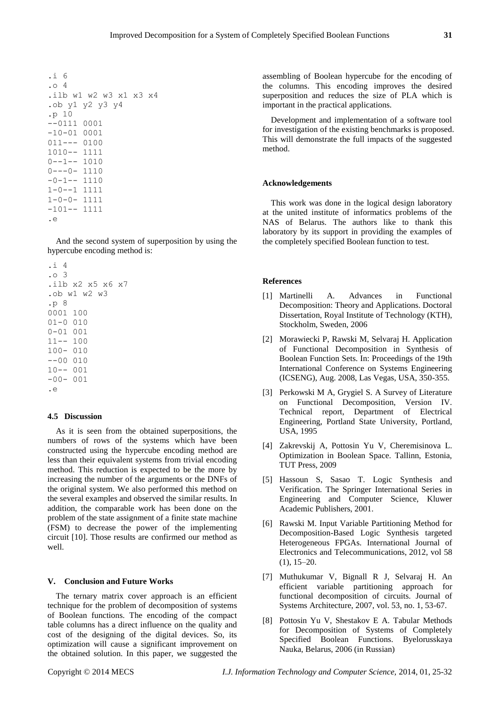```
.i 6
.o 4
.ilb w1 w2 w3 x1 x3 x4
.ob y1 y2 y3 y4
.p 10
--0111 0001
-10-01 0001
011--- 0100
1010-- 1111
0--1-- 10100---0- 1110-0-1-- 11101-0--1 1111
1-0-0- 1111
-101-- 1111
.e
```
And the second system of superposition by using the hypercube encoding method is:

```
.i 4
.o 3
.ilb x2 x5 x6 x7
.ob w1 w2 w3
.p 8
0001 100
01-0 010
0-01 001
11-- 100
100- 010
--00 010
10-- 001
-00- 001
.e
```
#### **4.5 Discussion**

As it is seen from the obtained superpositions, the numbers of rows of the systems which have been constructed using the hypercube encoding method are less than their equivalent systems from trivial encoding method. This reduction is expected to be the more by increasing the number of the arguments or the DNFs of the original system. We also performed this method on the several examples and observed the similar results. In addition, the comparable work has been done on the problem of the state assignment of a finite state machine (FSM) to decrease the power of the implementing circuit [10]. Those results are confirmed our method as well.

# **V. Conclusion and Future Works**

The ternary matrix cover approach is an efficient technique for the problem of decomposition of systems of Boolean functions. The encoding of the compact table columns has a direct influence on the quality and cost of the designing of the digital devices. So, its optimization will cause a significant improvement on the obtained solution. In this paper, we suggested the

assembling of Boolean hypercube for the encoding of the columns. This encoding improves the desired superposition and reduces the size of PLA which is important in the practical applications.

Development and implementation of a software tool for investigation of the existing benchmarks is proposed. This will demonstrate the full impacts of the suggested method.

## **Acknowledgements**

This work was done in the logical design laboratory at the united institute of informatics problems of the NAS of Belarus. The authors like to thank this laboratory by its support in providing the examples of the completely specified Boolean function to test.

# **References**

- [1] Martinelli A. Advances in Functional Decomposition: Theory and Applications. Doctoral Dissertation, Royal Institute of Technology (KTH), Stockholm, Sweden, 2006
- [2] Morawiecki P, Rawski M, Selvaraj H. Application of Functional Decomposition in Synthesis of Boolean Function Sets. In: Proceedings of the 19th International Conference on Systems Engineering (ICSENG), Aug. 2008, Las Vegas, USA, 350-355.
- [3] Perkowski M A, Grygiel S. A Survey of Literature on Functional Decomposition, Version IV. Technical report, Department of Electrical Engineering, Portland State University, Portland, USA, 1995
- [4] Zakrevskij A, Pottosin Yu V, Cheremisinova L. Optimization in Boolean Space. Tallinn, Estonia, TUT Press, 2009
- [5] Hassoun S, Sasao T. Logic Synthesis and Verification. The Springer International Series in Engineering and Computer Science, Kluwer Academic Publishers, 2001.
- [6] Rawski M. Input Variable Partitioning Method for Decomposition-Based Logic Synthesis targeted Heterogeneous FPGAs. International Journal of Electronics and Telecommunications, 2012, vol 58 (1), 15–20.
- [7] Muthukumar V, Bignall R J, Selvaraj H. An efficient variable partitioning approach for functional decomposition of circuits. Journal of Systems Architecture, 2007, vol. 53, no. 1, 53-67.
- [8] Pottosin Yu V, Shestakov E A. Tabular Methods for Decomposition of Systems of Completely Specified Boolean Functions. Byelorusskaya Nauka, Belarus, 2006 (in Russian)